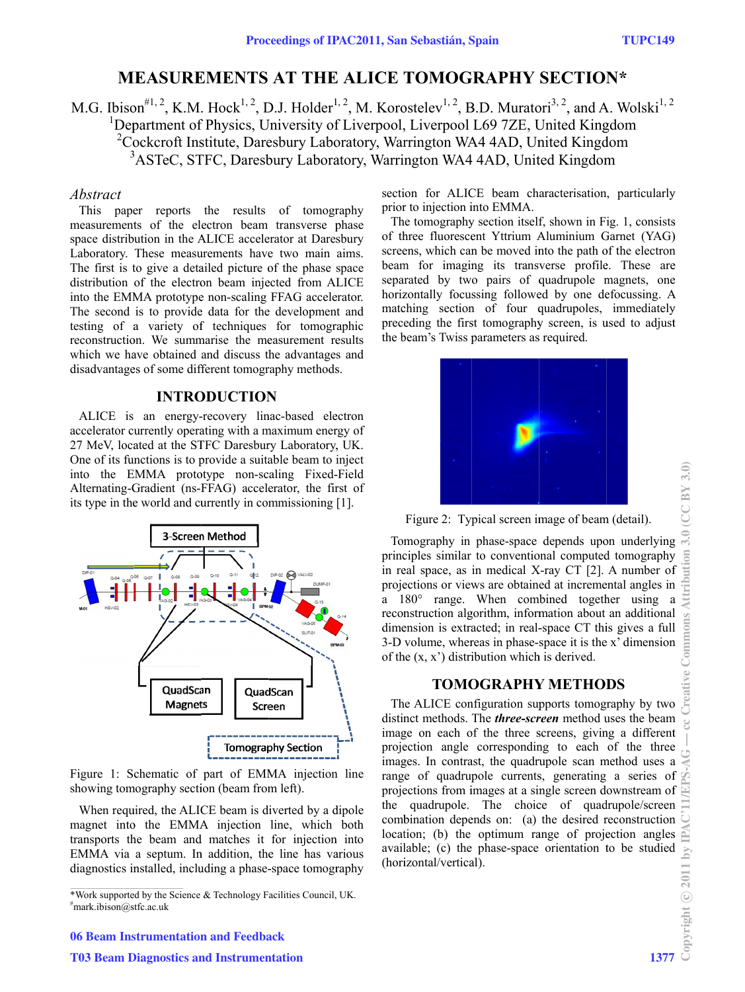# **MEASUREMENTS AT THE ALICE TOMOGRAPHY SECTION\***

M.G. Ibison<sup>#1, 2</sup>, K.M. Hock<sup>1, 2</sup>, D.J. Holder<sup>1, 2</sup>, M. Korostelev<sup>1, 2</sup>, B.D. Muratori<sup>3, 2</sup>, and A. Wolski<sup>1, 2</sup> <sup>1</sup>Department of Physics, University of Liverpool, Liverpool L69 7ZE, United Kingdom <sup>2</sup>Cockcroft Institute, Daresbury Laboratory, Warrington WA4 4AD, United Kingdom <sup>3</sup>ASTeC, STFC, Daresbury Laboratory, Warrington WA4 4AD, United Kingdom

#### Abstract

This paper reports the results of tomography measurements of the electron beam transverse phase space distribution in the ALICE accelerator at Daresbury Laboratory. These measurements have two main aims. The first is to give a detailed picture of the phase space distribution of the electron beam injected from ALICE into the EMMA prototype non-scaling FFAG accelerator. The second is to provide data for the development and testing of a variety of techniques for tomographic reconstruction. We summarise the measurement results which we have obtained and discuss the advantages and disadvantages of some different tomography methods.

#### **INTRODUCTION**

ALICE is an energy-recovery linac-based electron accelerator currently operating with a maximum energy of 27 MeV, located at the STFC Daresbury Laboratory, UK. One of its functions is to provide a suitable beam to inject into the EMMA prototype non-scaling Fixed-Field Alternating-Gradient (ns-FFAG) accelerator, the first of its type in the world and currently in commissioning [1].



Figure 1: Schematic of part of EMMA injection line showing tomography section (beam from left).

When required, the ALICE beam is diverted by a dipole magnet into the EMMA injection line, which both transports the beam and matches it for injection into EMMA via a septum. In addition, the line has various diagnostics installed, including a phase-space tomography section for ALICE beam characterisation, particularly prior to injection into EMMA.

The tomography section itself, shown in Fig. 1, consists of three fluorescent Yttrium Aluminium Garnet (YAG) screens, which can be moved into the path of the electron beam for imaging its transverse profile. These are separated by two pairs of quadrupole magnets, one horizontally focussing followed by one defocussing. A matching section of four quadrupoles, immediately preceding the first tomography screen, is used to adjust the beam's Twiss parameters as required.



Figure 2: Typical screen image of beam (detail).

Tomography in phase-space depends upon underlying principles similar to conventional computed tomography in real space, as in medical X-ray CT [2]. A number of projections or views are obtained at incremental angles in a 180° range. When combined together using a reconstruction algorithm, information about an additional dimension is extracted; in real-space CT this gives a full 3-D volume, whereas in phase-space it is the x' dimension of the  $(x, x')$  distribution which is derived.

### **TOMOGRAPHY METHODS**

The ALICE configuration supports tomography by two distinct methods. The *three-screen* method uses the beam image on each of the three screens, giving a different projection angle corresponding to each of the three images. In contrast, the quadrupole scan method uses a range of quadrupole currents, generating a series of projections from images at a single screen downstream of the quadrupole. The choice of quadrupole/screen combination depends on: (a) the desired reconstruction location; (b) the optimum range of projection angles available; (c) the phase-space orientation to be studied (horizontal/vertical).

<sup>\*</sup>Work supported by the Science & Technology Facilities Council, UK. #mark.ibison@stfc.ac.uk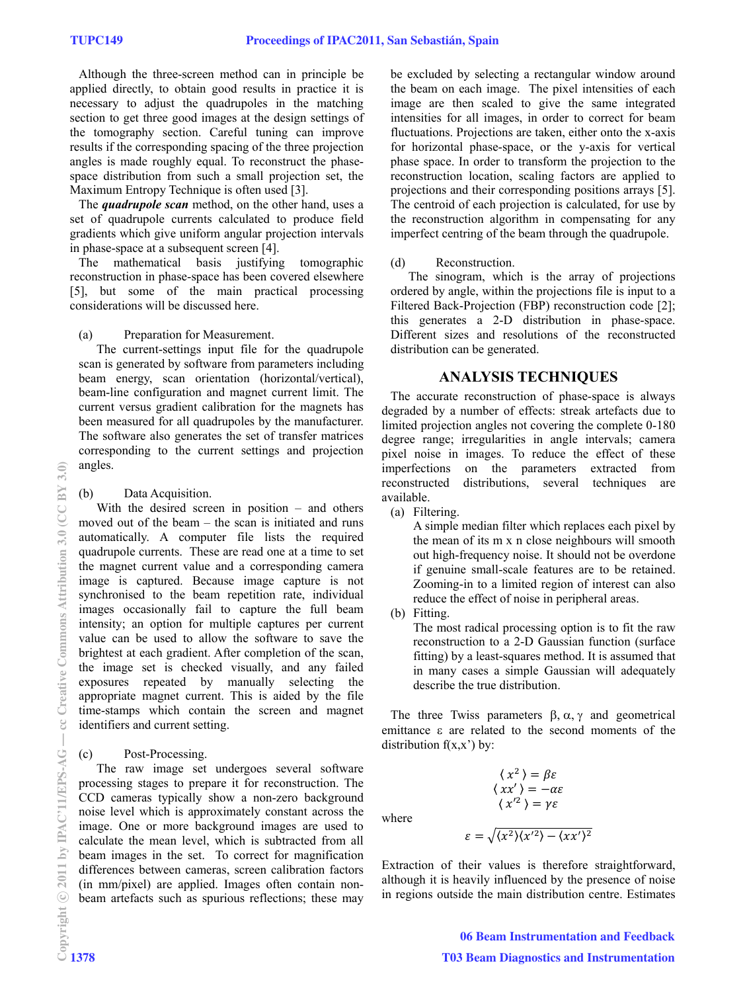Although the three-screen method can in principle be applied directly, to obtain good results in practice it is necessary to adjust the quadrupoles in the matching section to get three good images at the design settings of the tomography section. Careful tuning can improve results if the corresponding spacing of the three projection angles is made roughly equal. To reconstruct the phasespace distribution from such a small projection set, the Maximum Entropy Technique is often used [3].

The *quadrupole scan* method, on the other hand, uses a set of quadrupole currents calculated to produce field gradients which give uniform angular projection intervals in phase-space at a subsequent screen [4].

The mathematical basis justifying tomographic reconstruction in phase-space has been covered elsewhere [5], but some of the main practical processing considerations will be discussed here.

(a) Preparation for Measurement.

The current-settings input file for the quadrupole scan is generated by software from parameters including beam energy, scan orientation (horizontal/vertical), beam-line configuration and magnet current limit. The current versus gradient calibration for the magnets has been measured for all quadrupoles by the manufacturer. The software also generates the set of transfer matrices corresponding to the current settings and projection angles.

(b) Data Acquisition.

With the desired screen in position – and others moved out of the beam – the scan is initiated and runs automatically. A computer file lists the required quadrupole currents. These are read one at a time to set the magnet current value and a corresponding camera image is captured. Because image capture is not synchronised to the beam repetition rate, individual images occasionally fail to capture the full beam intensity; an option for multiple captures per current value can be used to allow the software to save the brightest at each gradient. After completion of the scan, the image set is checked visually, and any failed exposures repeated by manually selecting the appropriate magnet current. This is aided by the file time-stamps which contain the screen and magnet identifiers and current setting.

### (c) Post-Processing.

The raw image set undergoes several software processing stages to prepare it for reconstruction. The CCD cameras typically show a non-zero background noise level which is approximately constant across the image. One or more background images are used to calculate the mean level, which is subtracted from all beam images in the set. To correct for magnification differences between cameras, screen calibration factors (in mm/pixel) are applied. Images often contain nonbeam artefacts such as spurious reflections; these may

be excluded by selecting a rectangular window around the beam on each image. The pixel intensities of each image are then scaled to give the same integrated intensities for all images, in order to correct for beam fluctuations. Projections are taken, either onto the x-axis for horizontal phase-space, or the y-axis for vertical phase space. In order to transform the projection to the reconstruction location, scaling factors are applied to projections and their corresponding positions arrays [5]. The centroid of each projection is calculated, for use by the reconstruction algorithm in compensating for any imperfect centring of the beam through the quadrupole.

## (d) Reconstruction.

The sinogram, which is the array of projections ordered by angle, within the projections file is input to a Filtered Back-Projection (FBP) reconstruction code [2]; this generates a 2-D distribution in phase-space. Different sizes and resolutions of the reconstructed distribution can be generated.

# **ANALYSIS TECHNIQUES**

The accurate reconstruction of phase-space is always degraded by a number of effects: streak artefacts due to limited projection angles not covering the complete 0-180 degree range; irregularities in angle intervals; camera pixel noise in images. To reduce the effect of these imperfections on the parameters extracted from reconstructed distributions, several techniques are available.

(a) Filtering.

A simple median filter which replaces each pixel by the mean of its m x n close neighbours will smooth out high-frequency noise. It should not be overdone if genuine small-scale features are to be retained. Zooming-in to a limited region of interest can also reduce the effect of noise in peripheral areas.

(b) Fitting.

The most radical processing option is to fit the raw reconstruction to a 2-D Gaussian function (surface fitting) by a least-squares method. It is assumed that in many cases a simple Gaussian will adequately describe the true distribution.

The three Twiss parameters  $\beta$ ,  $\alpha$ ,  $\gamma$  and geometrical emittance  $\varepsilon$  are related to the second moments of the distribution  $f(x,x')$  by:

> $\langle x^2 \rangle = \beta \varepsilon$  $\langle xx' \rangle = -\alpha \varepsilon$  $\langle x^2 \rangle = \gamma \varepsilon$

where

$$
\varepsilon = \sqrt{\langle x^2 \rangle \langle x'^2 \rangle - \langle x x' \rangle^2}
$$

Extraction of their values is therefore straightforward, although it is heavily influenced by the presence of noise in regions outside the main distribution centre. Estimates